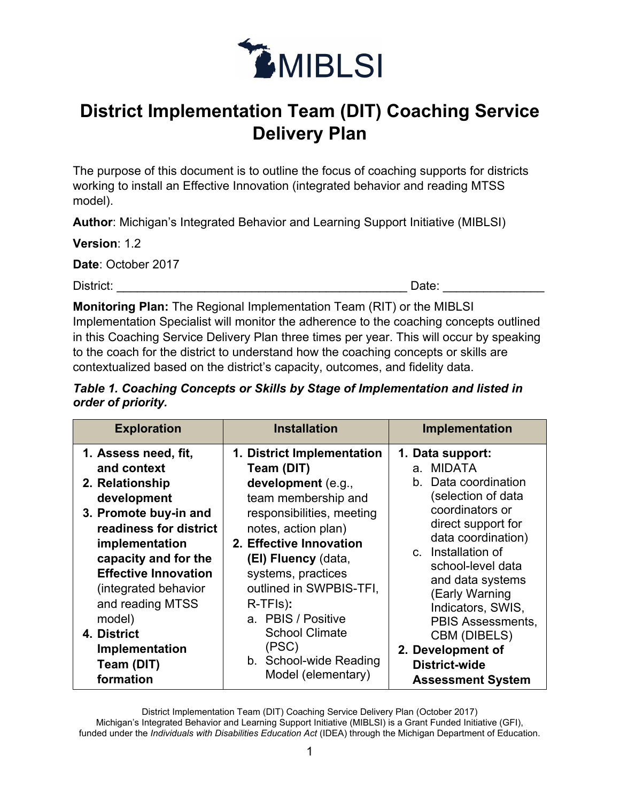

## **District Implementation Team (DIT) Coaching Service Delivery Plan**

The purpose of this document is to outline the focus of coaching supports for districts working to install an Effective Innovation (integrated behavior and reading MTSS model).

**Author**: Michigan's Integrated Behavior and Learning Support Initiative (MIBLSI)

**Version**: 1.2

**Date**: October 2017

District: \_\_\_\_\_\_\_\_\_\_\_\_\_\_\_\_\_\_\_\_\_\_\_\_\_\_\_\_\_\_\_\_\_\_\_\_\_\_\_\_\_\_\_ Date: \_\_\_\_\_\_\_\_\_\_\_\_\_\_\_

**Monitoring Plan:** The Regional Implementation Team (RIT) or the MIBLSI Implementation Specialist will monitor the adherence to the coaching concepts outlined in this Coaching Service Delivery Plan three times per year. This will occur by speaking to the coach for the district to understand how the coaching concepts or skills are contextualized based on the district's capacity, outcomes, and fidelity data.

## *Table 1. Coaching Concepts or Skills by Stage of Implementation and listed in order of priority.*

| 1. Assess need, fit,<br>1. District Implementation<br>1. Data support:<br>and context<br><b>MIDATA</b><br>Team (DIT)<br>a.<br>b.<br>development (e.g.,<br>2. Relationship<br>team membership and<br>development                                                                                                                                                                                                                                                                                                                                                      | <b>Exploration</b>    | Implementation                                                                                                                                                                                   | <b>Installation</b>       |
|----------------------------------------------------------------------------------------------------------------------------------------------------------------------------------------------------------------------------------------------------------------------------------------------------------------------------------------------------------------------------------------------------------------------------------------------------------------------------------------------------------------------------------------------------------------------|-----------------------|--------------------------------------------------------------------------------------------------------------------------------------------------------------------------------------------------|---------------------------|
| readiness for district<br>notes, action plan)<br>2. Effective Innovation<br>implementation<br>Installation of<br>$\mathbf{C}$<br>capacity and for the<br>(EI) Fluency (data,<br><b>Effective Innovation</b><br>systems, practices<br>outlined in SWPBIS-TFI,<br>(integrated behavior<br>(Early Warning<br>and reading MTSS<br>R-TFIs):<br>a. PBIS / Positive<br>model)<br><b>School Climate</b><br>4. District<br>CBM (DIBELS)<br>(PSC)<br>Implementation<br>2. Development of<br>b. School-wide Reading<br>Team (DIT)<br><b>District-wide</b><br>Model (elementary) | 3. Promote buy-in and | Data coordination<br>(selection of data<br>coordinators or<br>direct support for<br>data coordination)<br>school-level data<br>and data systems<br>Indicators, SWIS,<br><b>PBIS Assessments,</b> | responsibilities, meeting |

District Implementation Team (DIT) Coaching Service Delivery Plan (October 2017)

Michigan's Integrated Behavior and Learning Support Initiative (MIBLSI) is a Grant Funded Initiative (GFI), funded under the *Individuals with Disabilities Education Act* (IDEA) through the Michigan Department of Education.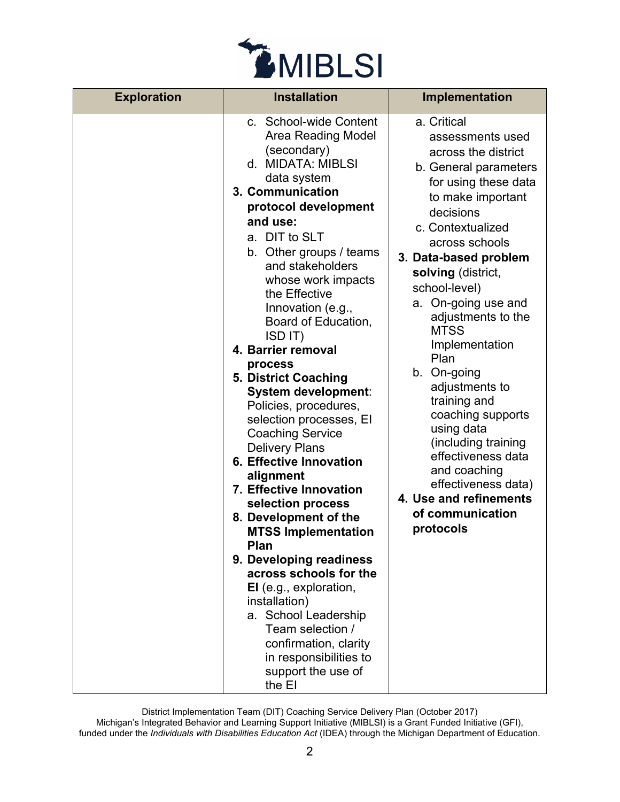

| <b>Exploration</b> | <b>Installation</b>                                                                                                                                                                                                                                                                                                                                                                                                                                                                                                                                                                                                                                                                                                                                                                                                                                                                                        | Implementation                                                                                                                                                                                                                                                                                                                                                                                                                                                                                                                                                            |
|--------------------|------------------------------------------------------------------------------------------------------------------------------------------------------------------------------------------------------------------------------------------------------------------------------------------------------------------------------------------------------------------------------------------------------------------------------------------------------------------------------------------------------------------------------------------------------------------------------------------------------------------------------------------------------------------------------------------------------------------------------------------------------------------------------------------------------------------------------------------------------------------------------------------------------------|---------------------------------------------------------------------------------------------------------------------------------------------------------------------------------------------------------------------------------------------------------------------------------------------------------------------------------------------------------------------------------------------------------------------------------------------------------------------------------------------------------------------------------------------------------------------------|
|                    | c. School-wide Content<br>Area Reading Model<br>(secondary)<br>d. MIDATA: MIBLSI<br>data system<br>3. Communication<br>protocol development<br>and use:<br>a. DIT to SLT<br>b. Other groups / teams<br>and stakeholders<br>whose work impacts<br>the Effective<br>Innovation (e.g.,<br>Board of Education,<br>ISD IT)<br>4. Barrier removal<br>process<br>5. District Coaching<br>System development:<br>Policies, procedures,<br>selection processes, EI<br><b>Coaching Service</b><br><b>Delivery Plans</b><br><b>6. Effective Innovation</b><br>alignment<br>7. Effective Innovation<br>selection process<br>8. Development of the<br><b>MTSS Implementation</b><br>Plan<br>9. Developing readiness<br>across schools for the<br>EI (e.g., exploration,<br>installation)<br>a. School Leadership<br>Team selection /<br>confirmation, clarity<br>in responsibilities to<br>support the use of<br>the EI | a. Critical<br>assessments used<br>across the district<br>b. General parameters<br>for using these data<br>to make important<br>decisions<br>c. Contextualized<br>across schools<br>3. Data-based problem<br>solving (district,<br>school-level)<br>a. On-going use and<br>adjustments to the<br><b>MTSS</b><br>Implementation<br>Plan<br>b. On-going<br>adjustments to<br>training and<br>coaching supports<br>using data<br>(including training<br>effectiveness data<br>and coaching<br>effectiveness data)<br>4. Use and refinements<br>of communication<br>protocols |

District Implementation Team (DIT) Coaching Service Delivery Plan (October 2017)

Michigan's Integrated Behavior and Learning Support Initiative (MIBLSI) is a Grant Funded Initiative (GFI), funded under the *Individuals with Disabilities Education Act* (IDEA) through the Michigan Department of Education.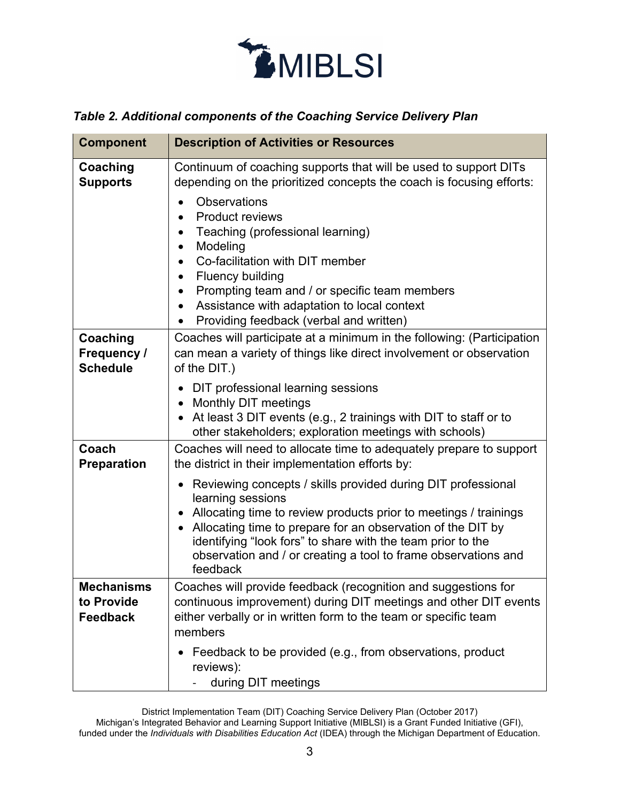

## *Table 2. Additional components of the Coaching Service Delivery Plan*

| <b>Component</b>                                   | <b>Description of Activities or Resources</b>                                                                                                                                                                                                                                                                                                                       |
|----------------------------------------------------|---------------------------------------------------------------------------------------------------------------------------------------------------------------------------------------------------------------------------------------------------------------------------------------------------------------------------------------------------------------------|
| Coaching<br><b>Supports</b>                        | Continuum of coaching supports that will be used to support DITs<br>depending on the prioritized concepts the coach is focusing efforts:                                                                                                                                                                                                                            |
|                                                    | <b>Observations</b><br><b>Product reviews</b><br>Teaching (professional learning)<br>Modeling<br>$\bullet$<br>Co-facilitation with DIT member<br><b>Fluency building</b><br>$\bullet$<br>Prompting team and / or specific team members<br>Assistance with adaptation to local context<br>$\bullet$<br>Providing feedback (verbal and written)                       |
| Coaching<br>Frequency /<br><b>Schedule</b>         | Coaches will participate at a minimum in the following: (Participation<br>can mean a variety of things like direct involvement or observation<br>of the DIT.)                                                                                                                                                                                                       |
|                                                    | DIT professional learning sessions<br>Monthly DIT meetings<br>$\bullet$<br>At least 3 DIT events (e.g., 2 trainings with DIT to staff or to<br>other stakeholders; exploration meetings with schools)                                                                                                                                                               |
| Coach<br><b>Preparation</b>                        | Coaches will need to allocate time to adequately prepare to support<br>the district in their implementation efforts by:                                                                                                                                                                                                                                             |
|                                                    | • Reviewing concepts / skills provided during DIT professional<br>learning sessions<br>Allocating time to review products prior to meetings / trainings<br>Allocating time to prepare for an observation of the DIT by<br>identifying "look fors" to share with the team prior to the<br>observation and / or creating a tool to frame observations and<br>feedback |
| <b>Mechanisms</b><br>to Provide<br><b>Feedback</b> | Coaches will provide feedback (recognition and suggestions for<br>continuous improvement) during DIT meetings and other DIT events<br>either verbally or in written form to the team or specific team<br>members                                                                                                                                                    |
|                                                    | Feedback to be provided (e.g., from observations, product<br>reviews):<br>during DIT meetings                                                                                                                                                                                                                                                                       |

District Implementation Team (DIT) Coaching Service Delivery Plan (October 2017)

Michigan's Integrated Behavior and Learning Support Initiative (MIBLSI) is a Grant Funded Initiative (GFI), funded under the *Individuals with Disabilities Education Act* (IDEA) through the Michigan Department of Education.